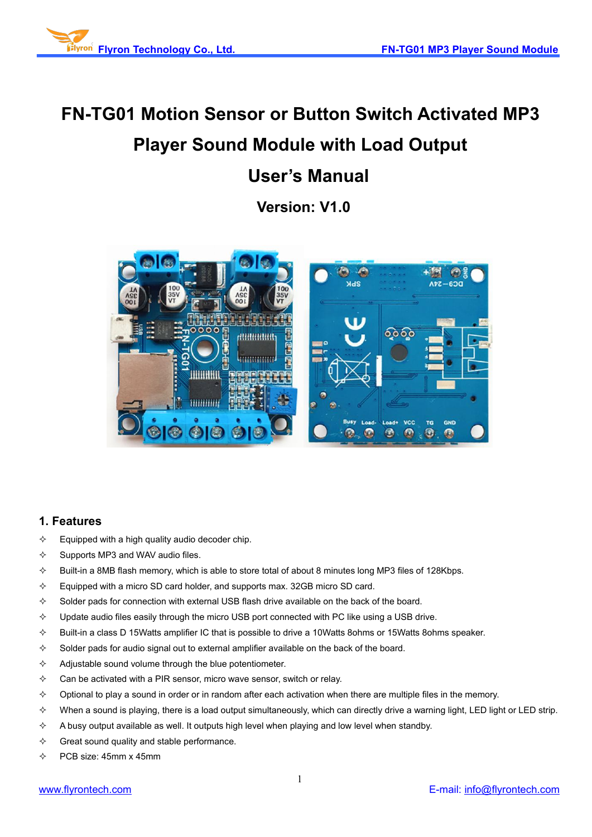

# **FN-TG01 Motion Sensor or Button Switch Activated MP3 Player Sound Module with Load Output User's Manual**

**Version: V1.0**



## **1. Features**

- $\Diamond$  Equipped with a high quality audio decoder chip.
- $\Diamond$  Supports MP3 and WAV audio files.
- $\Diamond$  Built-in a 8MB flash memory, which is able to store total of about 8 minutes long MP3 files of 128Kbps.
- $\Diamond$  Equipped with a micro SD card holder, and supports max. 32GB micro SD card.
- $\diamond$  Solder pads for connection with external USB flash drive available on the back of the board.
- $\div$  Update audio files easily through the micro USB port connected with PC like using a USB drive.
- $\diamond$  Built-in a class D 15Watts amplifier IC that is possible to drive a 10Watts 8ohms or 15Watts 8ohms speaker.
- $\Diamond$  Solder pads for audio signal out to external amplifier available on the back of the board.
- $\Diamond$  Adjustable sound volume through the blue potentiometer.
- $\Diamond$  Can be activated with a PIR sensor, micro wave sensor, switch or relay.
- $\diamond$  Optional to play a sound in order or in random after each activation when there are multiple files in the memory.
- $\div$  When a sound is playing, there is a load output simultaneously, which can directly drive a warning light, LED light or LED strip.
- $\Diamond$  A busy output available as well. It outputs high level when playing and low level when standby.
- $\Leftrightarrow$  Great sound quality and stable performance.
- $\div$  PCB size: 45mm x 45mm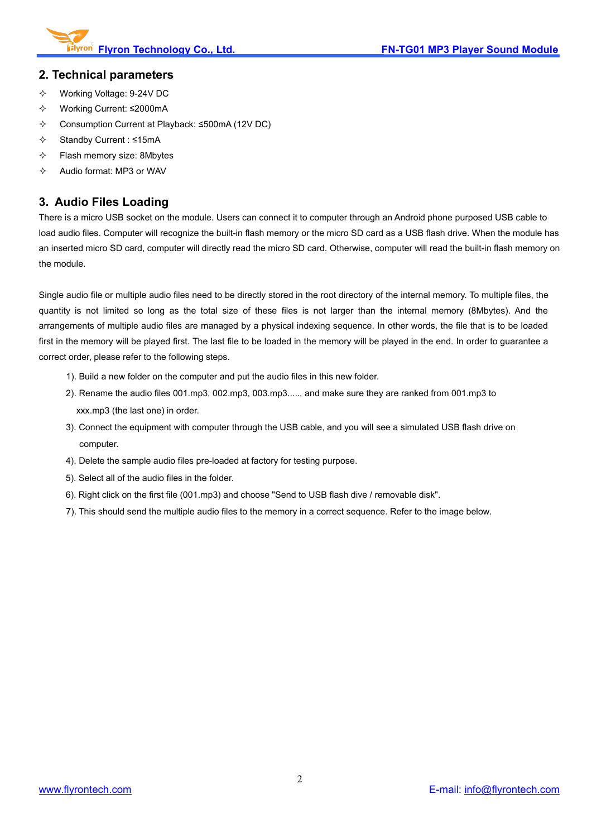

#### **2. Technical parameters**

- Working Voltage: 9-24V DC
- Working Current: ≤2000mA
- Consumption Current at Playback: ≤500mA (12V DC)
- Standby Current : ≤15mA
- $\div$  Flash memory size: 8Mbytes
- $\Diamond$  Audio format: MP3 or WAV

## **3. Audio Files Loading**

There is a micro USB socket on the module. Users can connect it to computer through an Android phone purposed USB cable to load audio files. Computer will recognize the built-in flash memory or the micro SD card as a USB flash drive. When the module has an inserted micro SD card, computer will directly read the micro SD card. Otherwise, computer will read the built-in flash memory on the module.

Single audio file or multiple audio files need to be directly stored in the root directory of the internal memory. To multiple files, the quantity is not limited so long as the total size of these files is not larger than the internal memory (8Mbytes). And the arrangements of multiple audio files are managed by a physical indexing sequence. In other words, the file that is to be loaded first in the memory will be played first. The last file to be loaded in the memory will be played in the end. In order to guarantee a correct order, please refer to the following steps.

- 1). Build a new folder on the computer and put the audio files in this new folder.
- 2). Rename the audio files 001.mp3, 002.mp3, 003.mp3....., and make sure they are ranked from 001.mp3 to xxx.mp3 (the last one) in order.
- 3). Connect the equipment with computer through the USB cable, and you will see a simulated USB flash drive on computer.
- 4). Delete the sample audio files pre-loaded at factory for testing purpose.
- 5). Select all of the audio files in the folder.
- 6). Right click on the first file (001.mp3) and choose "Send to USB flash dive / removable disk".
- 7). This should send the multiple audio files to the memory in a correct sequence. Refer to the image below.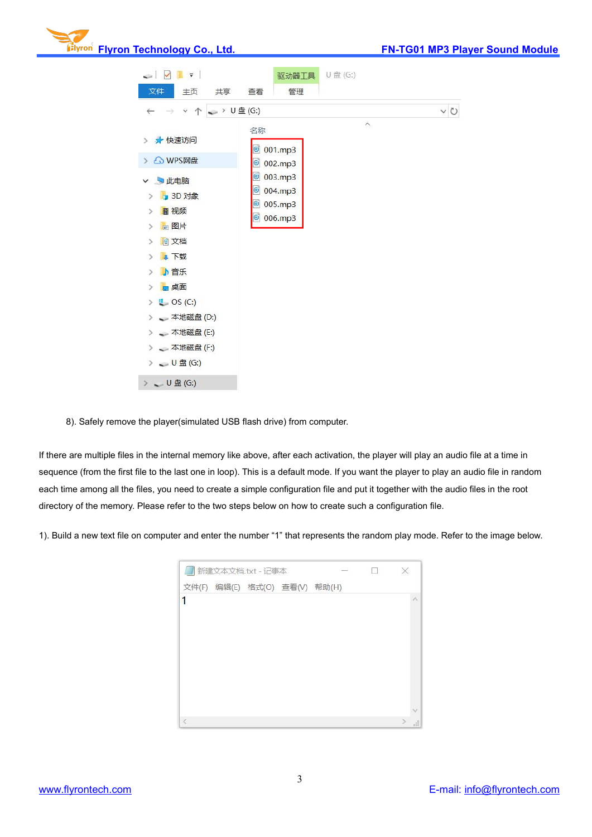



8). Safely remove the player(simulated USB flash drive) from computer.

If there are multiple files in the internal memory like above, after each activation, the player will play an audio file at a time in sequence (from the first file to the last one in loop). This is a default mode. If you want the player to play an audio file in random each time among all the files, you need to create a simple configuration file and put it together with the audio files in the root directory of the memory. Please refer to the two steps below on how to create such a configuration file.

1). Build a new text file on computer and enter the number "1" that represents the random play mode. Refer to the image below.

| 新建文本文档.txt - 记事本 |  |                               |  |  |    |
|------------------|--|-------------------------------|--|--|----|
|                  |  | 文件(F) 编辑(E) 格式(O) 查看(V) 帮助(H) |  |  |    |
| 1                |  |                               |  |  |    |
|                  |  |                               |  |  |    |
|                  |  |                               |  |  |    |
|                  |  |                               |  |  |    |
|                  |  |                               |  |  |    |
|                  |  |                               |  |  |    |
|                  |  |                               |  |  |    |
|                  |  |                               |  |  |    |
| $\,<$            |  |                               |  |  | ai |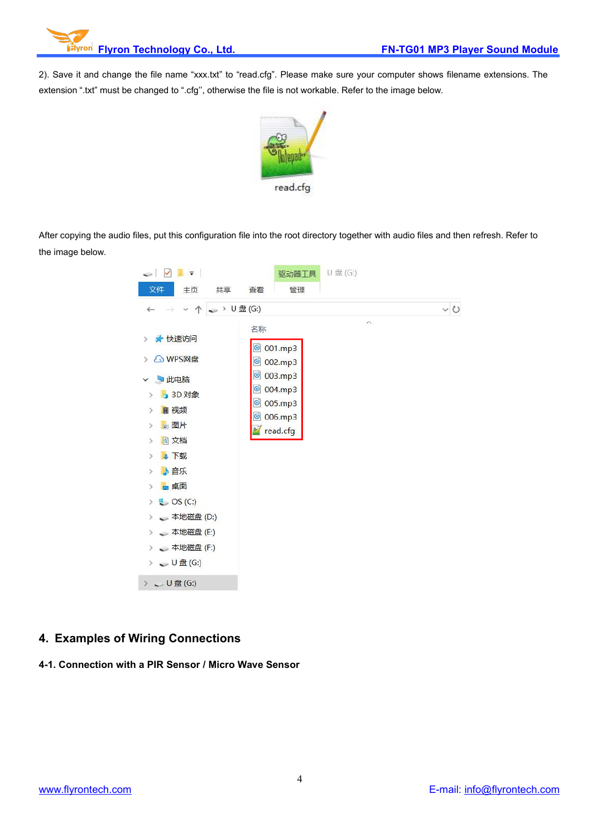2). Save it and change the file name "xxx.txt" to "read.cfg". Please make sure your computer shows filename extensions. The extension ".txt" must be changed to ".cfg", otherwise the file is not workable. Refer to the image below.



After copying the audio files, put this configuration file into the root directory together with audio files and then refresh. Refer to the image below.



## **4. Examples of Wiring Connections**

**4-1. Connection with a PIR Sensor / Micro Wave Sensor**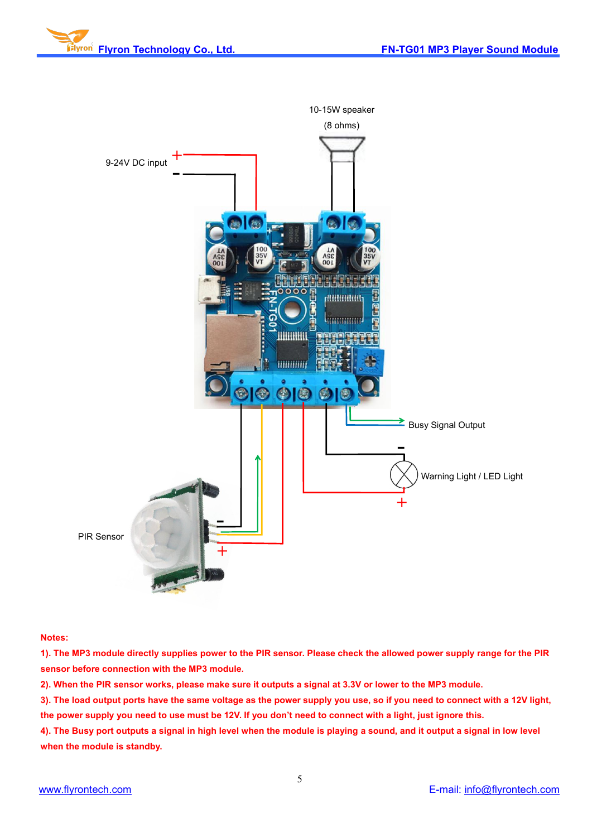



#### **Notes:**

1). The MP3 module directly supplies power to the PIR sensor. Please check the allowed power supply range for the PIR **sensor before connection with the MP3 module.**

2). When the PIR sensor works, please make sure it outputs a signal at 3.3V or lower to the MP3 module.

3). The load output ports have the same voltage as the power supply you use, so if you need to connect with a 12V light, the power supply you need to use must be 12V. If you don't need to connect with a light, just ignore this.

4). The Busy port outputs a signal in high level when the module is playing a sound, and it output a signal in low level **when the module is standby.**